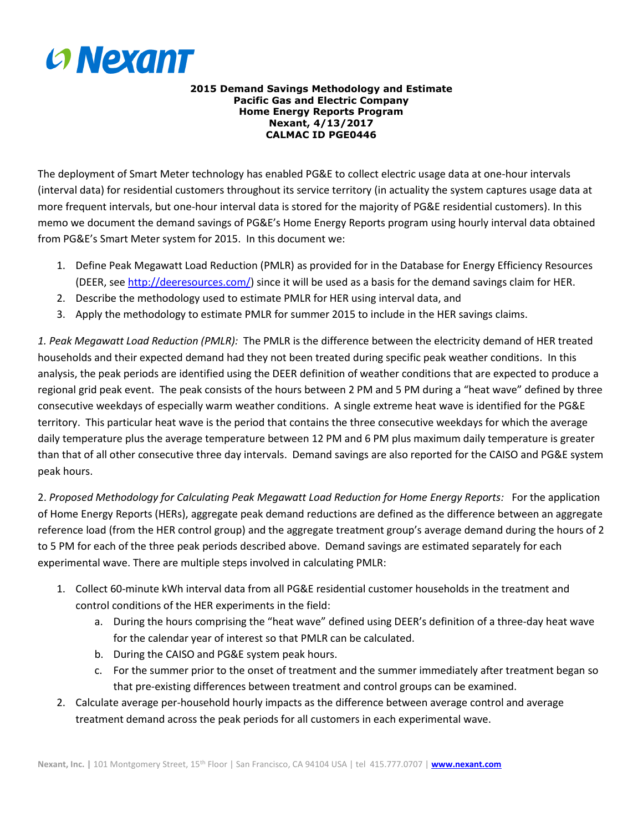

#### **2015 Demand Savings Methodology and Estimate Pacific Gas and Electric Company Home Energy Reports Program Nexant, 4/13/2017 CALMAC ID PGE0446**

The deployment of Smart Meter technology has enabled PG&E to collect electric usage data at one-hour intervals (interval data) for residential customers throughout its service territory (in actuality the system captures usage data at more frequent intervals, but one-hour interval data is stored for the majority of PG&E residential customers). In this memo we document the demand savings of PG&E's Home Energy Reports program using hourly interval data obtained from PG&E's Smart Meter system for 2015. In this document we:

- 1. Define Peak Megawatt Load Reduction (PMLR) as provided for in the Database for Energy Efficiency Resources (DEER, see [http://deeresources.com/\)](http://deeresources.com/) since it will be used as a basis for the demand savings claim for HER.
- 2. Describe the methodology used to estimate PMLR for HER using interval data, and
- 3. Apply the methodology to estimate PMLR for summer 2015 to include in the HER savings claims.

*1. Peak Megawatt Load Reduction (PMLR):* The PMLR is the difference between the electricity demand of HER treated households and their expected demand had they not been treated during specific peak weather conditions. In this analysis, the peak periods are identified using the DEER definition of weather conditions that are expected to produce a regional grid peak event. The peak consists of the hours between 2 PM and 5 PM during a "heat wave" defined by three consecutive weekdays of especially warm weather conditions. A single extreme heat wave is identified for the PG&E territory. This particular heat wave is the period that contains the three consecutive weekdays for which the average daily temperature plus the average temperature between 12 PM and 6 PM plus maximum daily temperature is greater than that of all other consecutive three day intervals. Demand savings are also reported for the CAISO and PG&E system peak hours.

2. *Proposed Methodology for Calculating Peak Megawatt Load Reduction for Home Energy Reports:* For the application of Home Energy Reports (HERs), aggregate peak demand reductions are defined as the difference between an aggregate reference load (from the HER control group) and the aggregate treatment group's average demand during the hours of 2 to 5 PM for each of the three peak periods described above. Demand savings are estimated separately for each experimental wave. There are multiple steps involved in calculating PMLR:

- 1. Collect 60-minute kWh interval data from all PG&E residential customer households in the treatment and control conditions of the HER experiments in the field:
	- a. During the hours comprising the "heat wave" defined using DEER's definition of a three-day heat wave for the calendar year of interest so that PMLR can be calculated.
	- b. During the CAISO and PG&E system peak hours.
	- c. For the summer prior to the onset of treatment and the summer immediately after treatment began so that pre-existing differences between treatment and control groups can be examined.
- 2. Calculate average per-household hourly impacts as the difference between average control and average treatment demand across the peak periods for all customers in each experimental wave.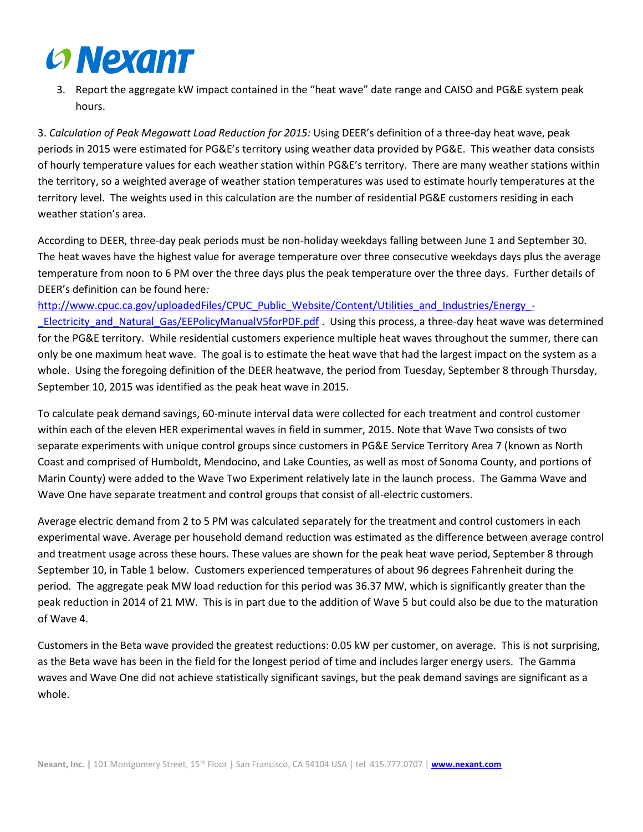# **Convexant**

3. Report the aggregate kW impact contained in the "heat wave" date range and CAISO and PG&E system peak hours.

3. *Calculation of Peak Megawatt Load Reduction for 2015:* Using DEER's definition of a three-day heat wave, peak periods in 2015 were estimated for PG&E's territory using weather data provided by PG&E. This weather data consists of hourly temperature values for each weather station within PG&E's territory. There are many weather stations within the territory, so a weighted average of weather station temperatures was used to estimate hourly temperatures at the territory level. The weights used in this calculation are the number of residential PG&E customers residing in each weather station's area.

According to DEER, three-day peak periods must be non-holiday weekdays falling between June 1 and September 30. The heat waves have the highest value for average temperature over three consecutive weekdays days plus the average temperature from noon to 6 PM over the three days plus the peak temperature over the three days. Further details of DEER's definition can be found here*:* 

[http://www.cpuc.ca.gov/uploadedFiles/CPUC\\_Public\\_Website/Content/Utilities\\_and\\_Industries/Energy\\_-](http://www.cpuc.ca.gov/uploadedFiles/CPUC_Public_Website/Content/Utilities_and_Industries/Energy_-_Electricity_and_Natural_Gas/EEPolicyManualV5forPDF.pdf) [\\_Electricity\\_and\\_Natural\\_Gas/EEPolicyManualV5forPDF.pdf](http://www.cpuc.ca.gov/uploadedFiles/CPUC_Public_Website/Content/Utilities_and_Industries/Energy_-_Electricity_and_Natural_Gas/EEPolicyManualV5forPDF.pdf) . Using this process, a three-day heat wave was determined for the PG&E territory. While residential customers experience multiple heat waves throughout the summer, there can only be one maximum heat wave. The goal is to estimate the heat wave that had the largest impact on the system as a whole. Using the foregoing definition of the DEER heatwave, the period from Tuesday, September 8 through Thursday, September 10, 2015 was identified as the peak heat wave in 2015.

To calculate peak demand savings, 60-minute interval data were collected for each treatment and control customer within each of the eleven HER experimental waves in field in summer, 2015. Note that Wave Two consists of two separate experiments with unique control groups since customers in PG&E Service Territory Area 7 (known as North Coast and comprised of Humboldt, Mendocino, and Lake Counties, as well as most of Sonoma County, and portions of Marin County) were added to the Wave Two Experiment relatively late in the launch process. The Gamma Wave and Wave One have separate treatment and control groups that consist of all-electric customers.

Average electric demand from 2 to 5 PM was calculated separately for the treatment and control customers in each experimental wave. Average per household demand reduction was estimated as the difference between average control and treatment usage across these hours. These values are shown for the peak heat wave period, September 8 through September 10, in Table 1 below. Customers experienced temperatures of about 96 degrees Fahrenheit during the period. The aggregate peak MW load reduction for this period was 36.37 MW, which is significantly greater than the peak reduction in 2014 of 21 MW. This is in part due to the addition of Wave 5 but could also be due to the maturation of Wave 4.

Customers in the Beta wave provided the greatest reductions: 0.05 kW per customer, on average. This is not surprising, as the Beta wave has been in the field for the longest period of time and includes larger energy users. The Gamma waves and Wave One did not achieve statistically significant savings, but the peak demand savings are significant as a whole.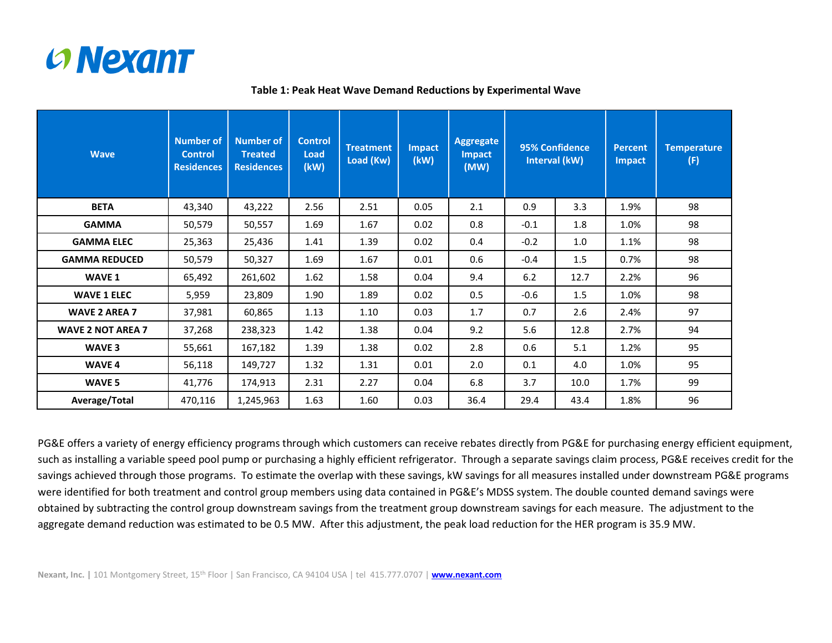

| <b>Wave</b>              | <b>Number of</b><br><b>Control</b><br><b>Residences</b> | <b>Number of</b><br><b>Treated</b><br><b>Residences</b> | <b>Control</b><br><b>Load</b><br>(kW) | Treatment<br>Load (Kw) | <b>Impact</b><br>(kW) | <b>Aggregate</b><br><b>Impact</b><br>(MW) | 95% Confidence<br>Interval (kW) |      | <b>Percent</b><br><b>Impact</b> | <b>Temperature</b><br>(F) |  |
|--------------------------|---------------------------------------------------------|---------------------------------------------------------|---------------------------------------|------------------------|-----------------------|-------------------------------------------|---------------------------------|------|---------------------------------|---------------------------|--|
| <b>BETA</b>              | 43,340                                                  | 43,222                                                  | 2.56                                  | 2.51                   | 0.05                  | 2.1                                       | 0.9                             | 3.3  | 1.9%                            | 98                        |  |
| <b>GAMMA</b>             | 50,579                                                  | 50,557                                                  | 1.69                                  | 1.67                   | 0.02                  | 0.8                                       | $-0.1$                          | 1.8  | 1.0%                            | 98                        |  |
| <b>GAMMA ELEC</b>        | 25,363                                                  | 25,436                                                  | 1.41                                  | 1.39                   | 0.02                  | 0.4                                       | $-0.2$                          | 1.0  | 1.1%                            | 98                        |  |
| <b>GAMMA REDUCED</b>     | 50,579                                                  | 50,327                                                  | 1.69                                  | 1.67                   | 0.01                  | 0.6                                       | $-0.4$                          | 1.5  | 0.7%                            | 98                        |  |
| WAVE 1                   | 65,492                                                  | 261,602                                                 | 1.62                                  | 1.58                   | 0.04                  | 9.4                                       | 6.2                             | 12.7 | 2.2%                            | 96                        |  |
| <b>WAVE 1 ELEC</b>       | 5,959                                                   | 23,809                                                  | 1.90                                  | 1.89                   | 0.02                  | 0.5                                       | $-0.6$                          | 1.5  | 1.0%                            | 98                        |  |
| <b>WAVE 2 AREA 7</b>     | 37,981                                                  | 60,865                                                  | 1.13                                  | 1.10                   | 0.03                  | 1.7                                       | 0.7<br>2.6                      |      | 2.4%                            | 97                        |  |
| <b>WAVE 2 NOT AREA 7</b> | 37,268                                                  | 238,323                                                 | 1.42                                  | 1.38                   | 0.04                  | 9.2                                       | 5.6                             | 12.8 |                                 | 94                        |  |
| WAVE 3                   | 55,661                                                  | 167,182                                                 | 1.39                                  | 1.38                   | 0.02                  | 2.8                                       | 0.6                             | 5.1  | 1.2%                            | 95                        |  |
| WAVE 4                   | 56,118                                                  | 149,727                                                 | 1.32                                  | 1.31                   | 0.01                  | 2.0                                       | 0.1                             | 4.0  | 1.0%                            | 95                        |  |
| WAVE 5                   | 41,776                                                  | 174,913                                                 | 2.31                                  | 2.27                   | 0.04                  | 6.8                                       | 3.7                             | 10.0 | 1.7%                            | 99                        |  |
| Average/Total            | 470,116                                                 | 1,245,963                                               | 1.63                                  | 1.60                   | 0.03                  | 36.4                                      | 29.4                            | 43.4 | 1.8%                            | 96                        |  |

### **Table 1: Peak Heat Wave Demand Reductions by Experimental Wave**

PG&E offers a variety of energy efficiency programs through which customers can receive rebates directly from PG&E for purchasing energy efficient equipment, such as installing a variable speed pool pump or purchasing a highly efficient refrigerator. Through a separate savings claim process, PG&E receives credit for the savings achieved through those programs. To estimate the overlap with these savings, kW savings for all measures installed under downstream PG&E programs were identified for both treatment and control group members using data contained in PG&E's MDSS system. The double counted demand savings were obtained by subtracting the control group downstream savings from the treatment group downstream savings for each measure. The adjustment to the aggregate demand reduction was estimated to be 0.5 MW. After this adjustment, the peak load reduction for the HER program is 35.9 MW.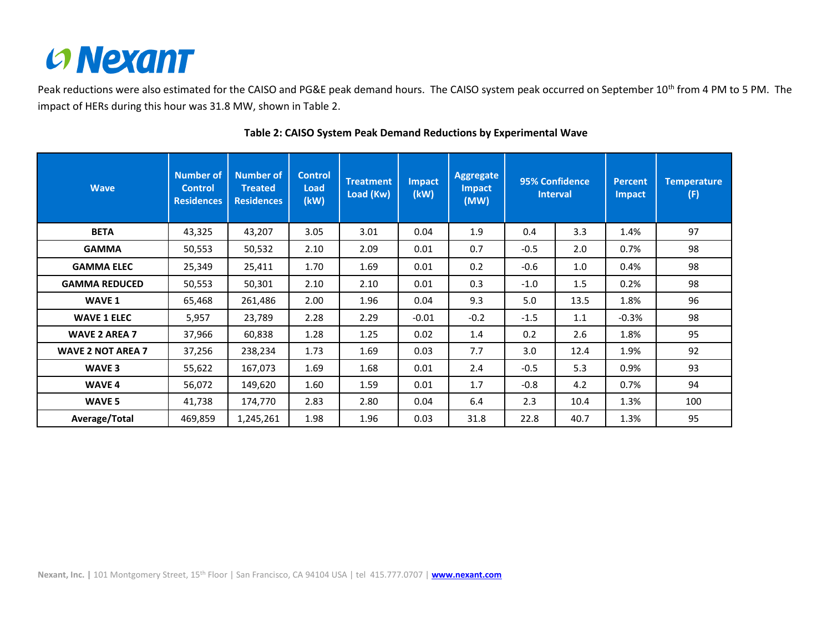

Peak reductions were also estimated for the CAISO and PG&E peak demand hours. The CAISO system peak occurred on September 10<sup>th</sup> from 4 PM to 5 PM. The impact of HERs during this hour was 31.8 MW, shown in Table 2.

| <b>Wave</b>              | <b>Number of</b><br><b>Control</b><br><b>Residences</b> | <b>Number of</b><br><b>Treated</b><br><b>Residences</b> | <b>Control</b><br><b>Load</b><br>(kW) | <b>Treatment</b><br>Load (Kw) | <b>Impact</b><br>(kW) | Aggregate<br><b>Impact</b><br>(MW) | 95% Confidence<br><b>Interval</b> |      | <b>Percent</b><br><b>Impact</b> | <b>Temperature</b><br>(F) |
|--------------------------|---------------------------------------------------------|---------------------------------------------------------|---------------------------------------|-------------------------------|-----------------------|------------------------------------|-----------------------------------|------|---------------------------------|---------------------------|
| <b>BETA</b>              | 43,325                                                  | 43,207                                                  | 3.05                                  | 3.01                          | 0.04                  | 1.9                                | 0.4<br>3.3                        |      | 1.4%                            | 97                        |
| <b>GAMMA</b>             | 50,553                                                  | 50,532                                                  | 2.10                                  | 2.09                          | 0.01                  | 0.7                                | $-0.5$                            | 2.0  | 0.7%                            | 98                        |
| <b>GAMMA ELEC</b>        | 25,349                                                  | 25,411                                                  | 1.70                                  | 1.69                          | 0.01                  | 0.2                                | $-0.6$                            | 1.0  | 0.4%                            | 98                        |
| <b>GAMMA REDUCED</b>     | 50,553                                                  | 50,301                                                  | 2.10                                  | 2.10                          | 0.01                  | 0.3                                | $-1.0$                            | 1.5  | 0.2%                            | 98                        |
| WAVE 1                   | 65,468                                                  | 261,486                                                 | 2.00                                  | 1.96                          | 0.04                  | 9.3                                | 5.0                               | 13.5 | 1.8%                            | 96                        |
| <b>WAVE 1 ELEC</b>       | 5,957                                                   | 23,789                                                  | 2.28                                  | 2.29                          | $-0.01$               | $-0.2$                             | $-1.5$                            | 1.1  | $-0.3%$                         | 98                        |
| <b>WAVE 2 AREA 7</b>     | 37,966                                                  | 60,838                                                  | 1.28                                  | 1.25                          | 0.02                  | 1.4                                | 0.2                               | 2.6  | 1.8%                            | 95                        |
| <b>WAVE 2 NOT AREA 7</b> | 37,256                                                  | 238,234                                                 | 1.73                                  | 1.69                          | 0.03                  | 7.7                                | 3.0                               | 12.4 | 1.9%                            | 92                        |
| WAVE 3                   | 55,622                                                  | 167,073                                                 | 1.69                                  | 1.68                          | 0.01                  | 2.4                                | $-0.5$                            | 5.3  | 0.9%                            | 93                        |
| WAVE 4                   | 56,072                                                  | 149,620                                                 | 1.60                                  | 1.59                          | 0.01                  | 1.7                                | $-0.8$                            | 4.2  | 0.7%                            | 94                        |
| WAVE 5                   | 41,738                                                  | 174,770                                                 | 2.83                                  | 2.80                          | 0.04                  | 6.4                                | 2.3                               | 10.4 | 1.3%                            | 100                       |
| Average/Total            | 469,859                                                 | 1,245,261                                               | 1.98                                  | 1.96                          | 0.03                  | 31.8                               | 22.8                              | 40.7 | 1.3%                            | 95                        |

### **Table 2: CAISO System Peak Demand Reductions by Experimental Wave**

**Nexant, Inc. |** 101 Montgomery Street, 15th Floor | San Francisco, CA 94104 USA | tel 415.777.0707 | **[www.nexant.com](file:///S:/ADMIN/ADMIN%20SUPPORT%20DOCS/Nexant%20Templates%20&%20Forms/Nexant%20Internal%20Templates/www.nexant.com)**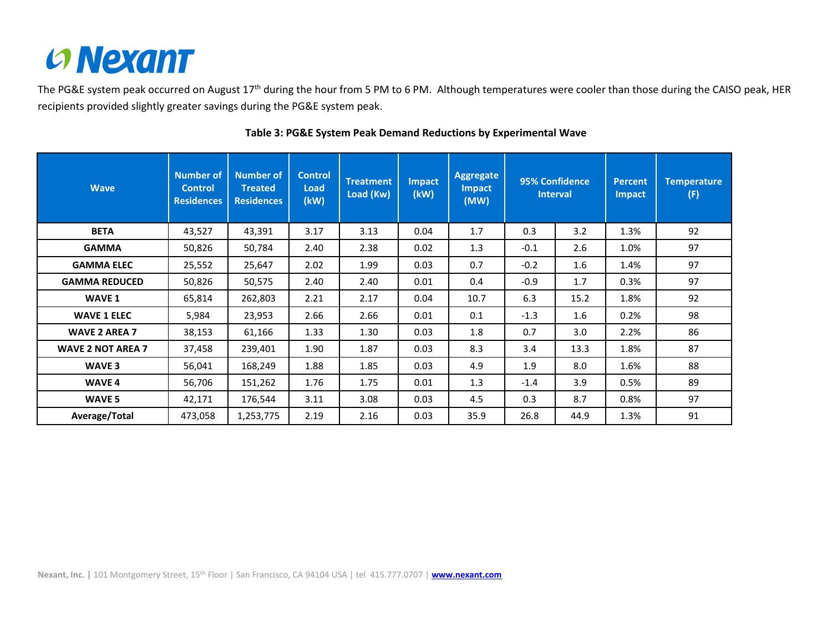

The PG&E system peak occurred on August 17<sup>th</sup> during the hour from 5 PM to 6 PM. Although temperatures were cooler than those during the CAISO peak, HER recipients provided slightly greater savings during the PG&E system peak.

| <b>Wave</b>              | <b>Number of</b><br><b>Control</b><br><b>Residences</b> | <b>Number of</b><br><b>Treated</b><br><b>Residences</b> | <b>Control</b><br><b>Load</b><br>(kW) | <b>Treatment</b><br>Load (Kw) | <b>Impact</b><br>(kW) | Aggregate<br><b>Impact</b><br>(MW) | 95% Confidence<br><b>Interval</b> |      | <b>Percent</b><br><b>Impact</b> | <b>Temperature</b><br>(F) |
|--------------------------|---------------------------------------------------------|---------------------------------------------------------|---------------------------------------|-------------------------------|-----------------------|------------------------------------|-----------------------------------|------|---------------------------------|---------------------------|
| <b>BETA</b>              | 43,527                                                  | 43,391                                                  | 3.17                                  | 3.13                          | 0.04                  | 1.7                                | 0.3                               | 3.2  | 1.3%                            | 92                        |
| <b>GAMMA</b>             | 50,826                                                  | 50,784                                                  | 2.40                                  | 2.38                          | 0.02                  | 1.3                                | $-0.1$                            | 2.6  | 1.0%                            | 97                        |
| <b>GAMMA ELEC</b>        | 25,552                                                  | 25,647                                                  | 2.02                                  | 1.99                          | 0.03                  | 0.7                                | $-0.2$                            | 1.6  | 1.4%                            | 97                        |
| <b>GAMMA REDUCED</b>     | 50,826                                                  | 50,575                                                  | 2.40                                  | 2.40                          | 0.01                  | 0.4                                | $-0.9$                            | 1.7  | 0.3%                            | 97                        |
| WAVE 1                   | 65,814                                                  | 262,803                                                 | 2.21                                  | 2.17                          | 0.04                  | 10.7                               | 6.3                               | 15.2 | 1.8%                            | 92                        |
| <b>WAVE 1 ELEC</b>       | 5,984                                                   | 23,953                                                  | 2.66                                  | 2.66                          | 0.01                  | 0.1                                | $-1.3$                            | 1.6  | 0.2%                            | 98                        |
| <b>WAVE 2 AREA 7</b>     | 38,153                                                  | 61,166                                                  | 1.33                                  | 1.30                          | 0.03                  | 1.8                                | 0.7                               | 3.0  | 2.2%                            | 86                        |
| <b>WAVE 2 NOT AREA 7</b> | 37,458                                                  | 239,401                                                 | 1.90                                  | 1.87                          | 0.03                  | 8.3                                | 3.4                               | 13.3 | 1.8%                            | 87                        |
| WAVE 3                   | 56,041                                                  | 168,249                                                 | 1.88                                  | 1.85                          | 0.03                  | 4.9                                | 1.9                               | 8.0  | 1.6%                            | 88                        |
| <b>WAVE 4</b>            | 56,706                                                  | 151,262                                                 | 1.76                                  | 1.75                          | 0.01                  | 1.3                                | $-1.4$                            | 3.9  | 0.5%                            | 89                        |
| WAVE 5                   | 42,171                                                  | 176,544                                                 | 3.11                                  | 3.08                          | 0.03                  | 4.5                                | 0.3                               | 8.7  | 0.8%                            | 97                        |
| Average/Total            | 473,058                                                 | 1,253,775                                               | 2.19                                  | 2.16                          | 0.03                  | 35.9                               | 26.8                              | 44.9 | 1.3%                            | 91                        |

## **Table 3: PG&E System Peak Demand Reductions by Experimental Wave**

**Nexant, Inc. |** 101 Montgomery Street, 15th Floor | San Francisco, CA 94104 USA | tel 415.777.0707 | **[www.nexant.com](file:///S:/ADMIN/ADMIN%20SUPPORT%20DOCS/Nexant%20Templates%20&%20Forms/Nexant%20Internal%20Templates/www.nexant.com)**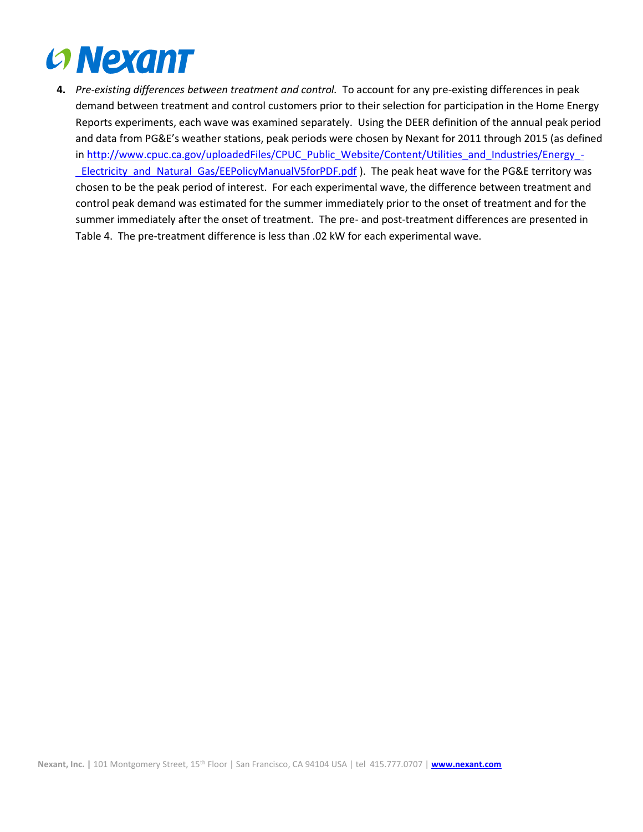

**4.** *Pre-existing differences between treatment and control.* To account for any pre-existing differences in peak demand between treatment and control customers prior to their selection for participation in the Home Energy Reports experiments, each wave was examined separately. Using the DEER definition of the annual peak period and data from PG&E's weather stations, peak periods were chosen by Nexant for 2011 through 2015 (as defined in [http://www.cpuc.ca.gov/uploadedFiles/CPUC\\_Public\\_Website/Content/Utilities\\_and\\_Industries/Energy\\_-](http://www.cpuc.ca.gov/uploadedFiles/CPUC_Public_Website/Content/Utilities_and_Industries/Energy_-_Electricity_and_Natural_Gas/EEPolicyManualV5forPDF.pdf) LElectricity\_and\_Natural\_Gas/EEPolicyManualV5forPDF.pdf ). The peak heat wave for the PG&E territory was chosen to be the peak period of interest. For each experimental wave, the difference between treatment and control peak demand was estimated for the summer immediately prior to the onset of treatment and for the summer immediately after the onset of treatment. The pre- and post-treatment differences are presented in Table 4. The pre-treatment difference is less than .02 kW for each experimental wave.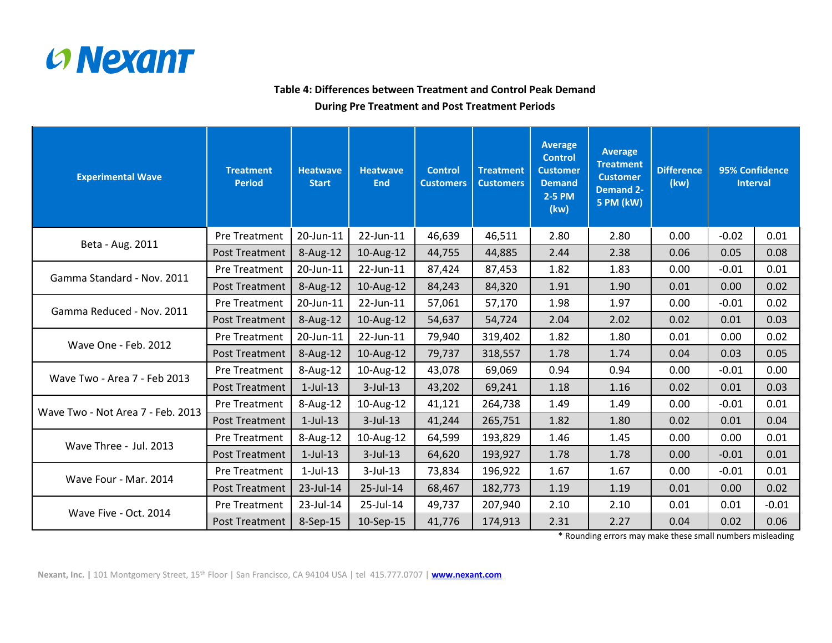

## **Table 4: Differences between Treatment and Control Peak Demand**

### **During Pre Treatment and Post Treatment Periods**

| <b>Experimental Wave</b>          | <b>Treatment</b><br><b>Period</b> | <b>Heatwave</b><br><b>Start</b> | <b>Heatwave</b><br><b>End</b> | <b>Control</b><br><b>Customers</b> | <b>Treatment</b><br><b>Customers</b> | <b>Average</b><br><b>Control</b><br><b>Customer</b><br><b>Demand</b><br>2-5 PM<br>(kw) | <b>Average</b><br><b>Treatment</b><br><b>Customer</b><br><b>Demand 2-</b><br><b>5 PM (kW)</b> | <b>Difference</b><br>(kw) | 95% Confidence<br><b>Interval</b> |         |
|-----------------------------------|-----------------------------------|---------------------------------|-------------------------------|------------------------------------|--------------------------------------|----------------------------------------------------------------------------------------|-----------------------------------------------------------------------------------------------|---------------------------|-----------------------------------|---------|
|                                   | Pre Treatment                     | 20-Jun-11                       | 22-Jun-11                     | 46,639                             | 46,511                               | 2.80                                                                                   | 2.80                                                                                          | 0.00                      | $-0.02$                           | 0.01    |
| Beta - Aug. 2011                  | <b>Post Treatment</b>             | 8-Aug-12                        | 10-Aug-12                     | 44,755                             | 44,885                               | 2.44                                                                                   | 2.38                                                                                          | 0.06                      | 0.05                              | 0.08    |
|                                   | Pre Treatment                     | 20-Jun-11                       | 22-Jun-11                     | 87,424                             | 87,453                               | 1.82                                                                                   | 1.83                                                                                          | 0.00                      | $-0.01$                           | 0.01    |
| Gamma Standard - Nov. 2011        | <b>Post Treatment</b>             | 8-Aug-12                        | 10-Aug-12                     | 84,243                             | 84,320                               | 1.91                                                                                   | 1.90                                                                                          | 0.01                      | 0.00                              | 0.02    |
| Gamma Reduced - Nov. 2011         | Pre Treatment                     | 20-Jun-11                       | 22-Jun-11                     | 57,061                             | 57,170                               | 1.98                                                                                   | 1.97                                                                                          | 0.00                      | $-0.01$                           | 0.02    |
|                                   | <b>Post Treatment</b>             | 8-Aug-12                        | 10-Aug-12                     | 54,637                             | 54,724                               | 2.04                                                                                   | 2.02                                                                                          | 0.02                      | 0.01                              | 0.03    |
| Wave One - Feb. 2012              | <b>Pre Treatment</b>              | 20-Jun-11                       | 22-Jun-11                     | 79,940                             | 319,402                              | 1.82                                                                                   | 1.80                                                                                          | 0.01                      | 0.00                              | 0.02    |
|                                   | <b>Post Treatment</b>             | $8-Aug-12$                      | 10-Aug-12                     | 79,737                             | 318,557                              | 1.78                                                                                   | 1.74                                                                                          | 0.04                      | 0.03                              | 0.05    |
| Wave Two - Area 7 - Feb 2013      | Pre Treatment                     | 8-Aug-12                        | 10-Aug-12                     | 43,078                             | 69,069                               | 0.94                                                                                   | 0.94                                                                                          | 0.00                      | $-0.01$                           | 0.00    |
|                                   | <b>Post Treatment</b>             | $1$ -Jul-13                     | $3$ -Jul-13                   | 43,202                             | 69,241                               | 1.18                                                                                   | 1.16                                                                                          | 0.02                      | 0.01                              | 0.03    |
| Wave Two - Not Area 7 - Feb. 2013 | Pre Treatment                     | 8-Aug-12                        | 10-Aug-12                     | 41,121                             | 264,738                              | 1.49                                                                                   | 1.49                                                                                          | 0.00                      | $-0.01$                           | 0.01    |
|                                   | <b>Post Treatment</b>             | $1$ -Jul-13                     | $3$ -Jul-13                   | 41,244                             | 265,751                              | 1.82                                                                                   | 1.80                                                                                          | 0.02                      | 0.01                              | 0.04    |
|                                   | Pre Treatment                     | 8-Aug-12                        | 10-Aug-12                     | 64,599                             | 193,829                              | 1.46                                                                                   | 1.45                                                                                          | 0.00                      | 0.00                              | 0.01    |
| Wave Three - Jul. 2013            | <b>Post Treatment</b>             | $1$ -Jul- $13$                  | $3$ -Jul-13                   | 64,620                             | 193,927                              | 1.78                                                                                   | 1.78                                                                                          | 0.00                      | $-0.01$                           | 0.01    |
| Wave Four - Mar. 2014             | Pre Treatment                     | $1$ -Jul-13                     | 3-Jul-13                      | 73,834                             | 196,922                              | 1.67                                                                                   | 1.67                                                                                          | 0.00                      | $-0.01$                           | 0.01    |
|                                   | <b>Post Treatment</b>             | 23-Jul-14                       | 25-Jul-14                     | 68,467                             | 182,773                              | 1.19                                                                                   | 1.19                                                                                          | 0.01                      | 0.00                              | 0.02    |
| Wave Five - Oct. 2014             | Pre Treatment                     | 23-Jul-14                       | 25-Jul-14                     | 49,737                             | 207,940                              | 2.10                                                                                   | 2.10                                                                                          | 0.01                      | 0.01                              | $-0.01$ |
|                                   | Post Treatment                    | 8-Sep-15                        | 10-Sep-15                     | 41,776                             | 174,913                              | 2.31                                                                                   | 2.27                                                                                          | 0.04                      | 0.02                              | 0.06    |

\* Rounding errors may make these small numbers misleading

**Nexant, Inc. |** 101 Montgomery Street, 15th Floor | San Francisco, CA 94104 USA | tel 415.777.0707 | **[www.nexant.com](file:///S:/ADMIN/ADMIN%20SUPPORT%20DOCS/Nexant%20Templates%20&%20Forms/Nexant%20Internal%20Templates/www.nexant.com)**